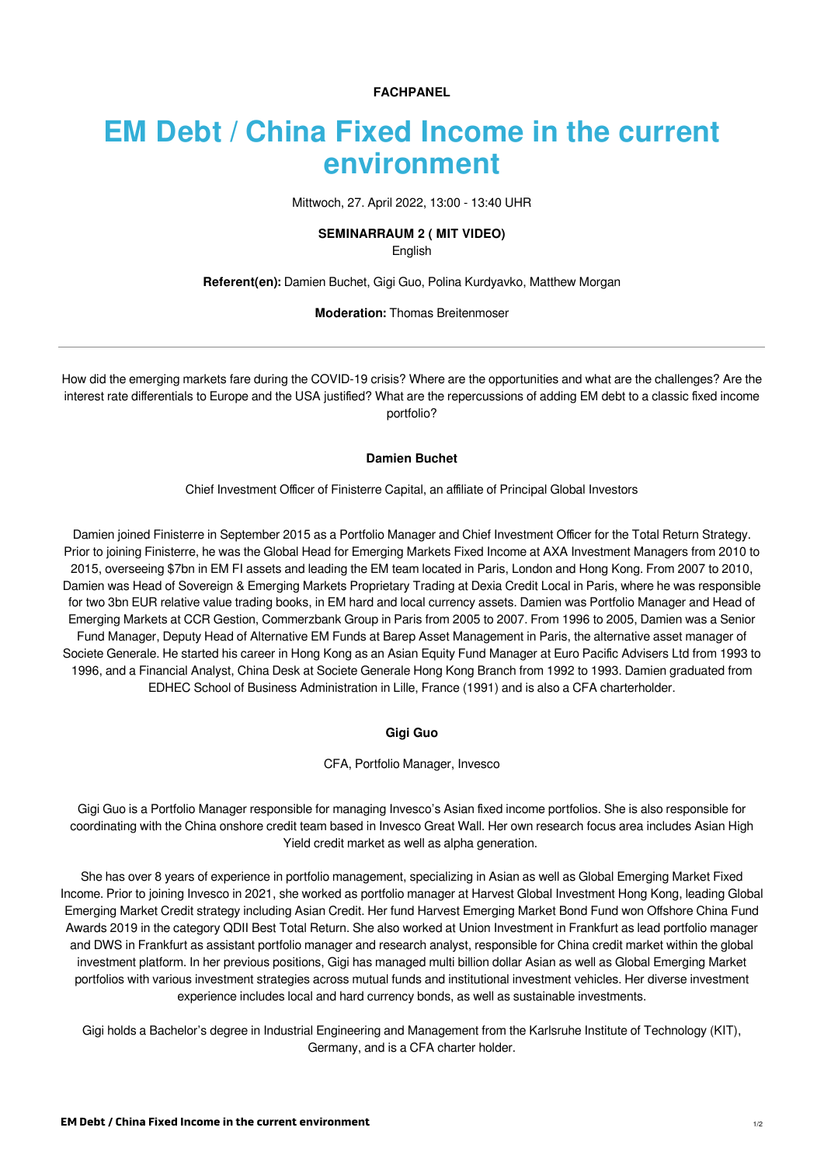**FACHPANEL**

# **EM Debt / China Fixed Income in the current environment**

Mittwoch, 27. April 2022, 13:00 - 13:40 UHR

## **SEMINARRAUM 2 ( MIT VIDEO)**

English

**Referent(en):** [Damien Buchet](https://finanzmesse.ch/referenten/referenten-2022/damien-buchet-ref1-201.html), [Gigi Guo,](https://finanzmesse.ch/referenten/referenten-2022/gigi-guo-ref2-201.html) [Polina Kurdyavko,](https://finanzmesse.ch/referenten/referenten-2022/polina-kurdyavko-ref3-201.html) [Matthew Morgan](https://finanzmesse.ch/referenten/referenten-2022/matthew-morgan-ref4-201.html)

## **Moderation:** [Thomas Breitenmoser](https://finanzmesse.ch/moderatoren/moderatoren-2022/thomas-breitenmoser.html)

How did the emerging markets fare during the COVID-19 crisis? Where are the opportunities and what are the challenges? Are the interest rate differentials to Europe and the USA justified? What are the repercussions of adding EM debt to a classic fixed income portfolio?

#### **Damien Buchet**

Chief Investment Officer of Finisterre Capital, an affiliate of Principal Global Investors

Damien joined Finisterre in September 2015 as a Portfolio Manager and Chief Investment Officer for the Total Return Strategy. Prior to joining Finisterre, he was the Global Head for Emerging Markets Fixed Income at AXA Investment Managers from 2010 to 2015, overseeing \$7bn in EM FI assets and leading the EM team located in Paris, London and Hong Kong. From 2007 to 2010, Damien was Head of Sovereign & Emerging Markets Proprietary Trading at Dexia Credit Local in Paris, where he was responsible for two 3bn EUR relative value trading books, in EM hard and local currency assets. Damien was Portfolio Manager and Head of Emerging Markets at CCR Gestion, Commerzbank Group in Paris from 2005 to 2007. From 1996 to 2005, Damien was a Senior Fund Manager, Deputy Head of Alternative EM Funds at Barep Asset Management in Paris, the alternative asset manager of Societe Generale. He started his career in Hong Kong as an Asian Equity Fund Manager at Euro Pacific Advisers Ltd from 1993 to 1996, and a Financial Analyst, China Desk at Societe Generale Hong Kong Branch from 1992 to 1993. Damien graduated from EDHEC School of Business Administration in Lille, France (1991) and is also a CFA charterholder.

### **Gigi Guo**

CFA, Portfolio Manager, Invesco

Gigi Guo is a Portfolio Manager responsible for managing Invesco's Asian fixed income portfolios. She is also responsible for coordinating with the China onshore credit team based in Invesco Great Wall. Her own research focus area includes Asian High Yield credit market as well as alpha generation.

She has over 8 years of experience in portfolio management, specializing in Asian as well as Global Emerging Market Fixed Income. Prior to joining Invesco in 2021, she worked as portfolio manager at Harvest Global Investment Hong Kong, leading Global Emerging Market Credit strategy including Asian Credit. Her fund Harvest Emerging Market Bond Fund won Offshore China Fund Awards 2019 in the category QDII Best Total Return. She also worked at Union Investment in Frankfurt as lead portfolio manager and DWS in Frankfurt as assistant portfolio manager and research analyst, responsible for China credit market within the global investment platform. In her previous positions, Gigi has managed multi billion dollar Asian as well as Global Emerging Market portfolios with various investment strategies across mutual funds and institutional investment vehicles. Her diverse investment experience includes local and hard currency bonds, as well as sustainable investments.

Gigi holds a Bachelor's degree in Industrial Engineering and Management from the Karlsruhe Institute of Technology (KIT), Germany, and is a CFA charter holder.